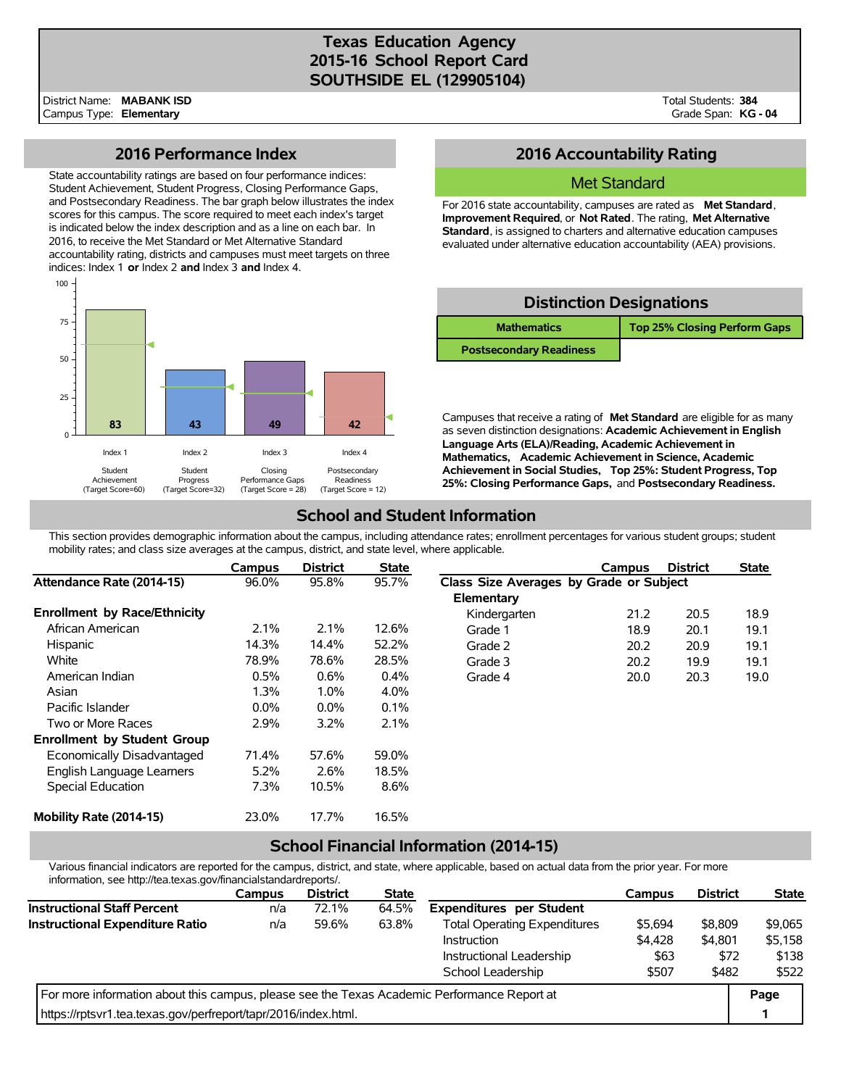# **Texas Education Agency 2015-16 School Report Card SOUTHSIDE EL (129905104)**

District Name: Campus Type: **Elementary MABANK ISD** Total Students: **384** Grade Span: **KG - 04**

### **2016 Performance Index**

State accountability ratings are based on four performance indices: Student Achievement, Student Progress, Closing Performance Gaps, and Postsecondary Readiness. The bar graph below illustrates the index scores for this campus. The score required to meet each index's target is indicated below the index description and as a line on each bar. In 2016, to receive the Met Standard or Met Alternative Standard accountability rating, districts and campuses must meet targets on three indices: Index 1 **or** Index 2 **and** Index 3 **and** Index 4.



## **2016 Accountability Rating**

#### Met Standard

For 2016 state accountability, campuses are rated as **Met Standard**, **Improvement Required**, or **Not Rated**. The rating, **Met Alternative Standard**, is assigned to charters and alternative education campuses evaluated under alternative education accountability (AEA) provisions.

| <b>Distinction Designations</b> |                                     |  |  |  |  |  |  |
|---------------------------------|-------------------------------------|--|--|--|--|--|--|
| <b>Mathematics</b>              | <b>Top 25% Closing Perform Gaps</b> |  |  |  |  |  |  |
| <b>Postsecondary Readiness</b>  |                                     |  |  |  |  |  |  |

Campuses that receive a rating of **Met Standard** are eligible for as many as seven distinction designations: **Academic Achievement in English Language Arts (ELA)/Reading, Academic Achievement in Mathematics, Academic Achievement in Science, Academic Achievement in Social Studies, Top 25%: Student Progress, Top 25%: Closing Performance Gaps,** and **Postsecondary Readiness.**

# **School and Student Information**

This section provides demographic information about the campus, including attendance rates; enrollment percentages for various student groups; student mobility rates; and class size averages at the campus, district, and state level, where applicable.

|                                     | Campus  | <b>District</b> | <b>State</b> |                                         | Campus | <b>District</b> | <b>State</b> |  |
|-------------------------------------|---------|-----------------|--------------|-----------------------------------------|--------|-----------------|--------------|--|
| Attendance Rate (2014-15)           | 96.0%   | 95.8%           | 95.7%        | Class Size Averages by Grade or Subject |        |                 |              |  |
|                                     |         |                 |              | Elementary                              |        |                 |              |  |
| <b>Enrollment by Race/Ethnicity</b> |         |                 |              | Kindergarten                            | 21.2   | 20.5            | 18.9         |  |
| African American                    | 2.1%    | 2.1%            | 12.6%        | Grade 1                                 | 18.9   | 20.1            | 19.1         |  |
| Hispanic                            | 14.3%   | 14.4%           | 52.2%        | Grade 2                                 | 20.2   | 20.9            | 19.1         |  |
| White                               | 78.9%   | 78.6%           | 28.5%        | Grade 3                                 | 20.2   | 19.9            | 19.1         |  |
| American Indian                     | 0.5%    | 0.6%            | $0.4\%$      | Grade 4                                 | 20.0   | 20.3            | 19.0         |  |
| Asian                               | 1.3%    | 1.0%            | 4.0%         |                                         |        |                 |              |  |
| Pacific Islander                    | $0.0\%$ | $0.0\%$         | 0.1%         |                                         |        |                 |              |  |
| Two or More Races                   | 2.9%    | 3.2%            | 2.1%         |                                         |        |                 |              |  |
| <b>Enrollment by Student Group</b>  |         |                 |              |                                         |        |                 |              |  |
| Economically Disadvantaged          | 71.4%   | 57.6%           | 59.0%        |                                         |        |                 |              |  |
| English Language Learners           | 5.2%    | 2.6%            | 18.5%        |                                         |        |                 |              |  |
| Special Education                   | 7.3%    | 10.5%           | 8.6%         |                                         |        |                 |              |  |
| Mobility Rate (2014-15)             | 23.0%   | 17.7%           | 16.5%        |                                         |        |                 |              |  |

## **School Financial Information (2014-15)**

Various financial indicators are reported for the campus, district, and state, where applicable, based on actual data from the prior year. For more information, see http://tea.texas.gov/financialstandardreports/.

|                                                                                             | Campus | <b>District</b> | <b>State</b> |                                     | Campus  | <b>District</b> | <b>State</b> |
|---------------------------------------------------------------------------------------------|--------|-----------------|--------------|-------------------------------------|---------|-----------------|--------------|
| <b>Instructional Staff Percent</b>                                                          | n/a    | 72.1%           | 64.5%        | <b>Expenditures per Student</b>     |         |                 |              |
| Instructional Expenditure Ratio                                                             | n/a    | 59.6%           | 63.8%        | <b>Total Operating Expenditures</b> | \$5,694 | \$8,809         | \$9,065      |
|                                                                                             |        |                 |              | <b>Instruction</b>                  | \$4,428 | \$4,801         | \$5,158      |
|                                                                                             |        |                 |              | Instructional Leadership            | \$63    | \$72            | \$138        |
|                                                                                             |        |                 |              | School Leadership                   | \$507   | \$482           | \$522        |
| For more information about this campus, please see the Texas Academic Performance Report at |        |                 |              |                                     |         |                 |              |
| https://rptsvr1.tea.texas.gov/perfreport/tapr/2016/index.html.                              |        |                 |              |                                     |         |                 |              |